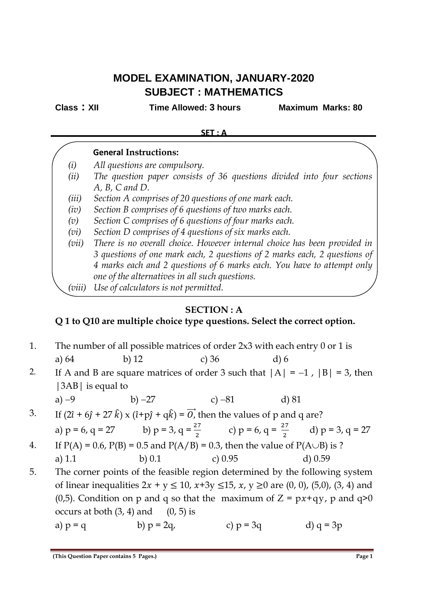# **MODEL EXAMINATION, JANUARY-2020 SUBJECT : MATHEMATICS**

**Class : XII Time Allowed: 3 hours Maximum Marks: 80**

#### **SET : A**

# **General Instructions:**

- *(i) All questions are compulsory.*
- *(ii) The question paper consists of 36 questions divided into four sections A, B, C and D.*
- *(iii) Section A comprises of 20 questions of one mark each.*
- *(iv) Section B comprises of 6 questions of two marks each.*
- *(v) Section C comprises of 6 questions of four marks each.*
- *(vi) Section D comprises of 4 questions of six marks each.*
- *(vii) There is no overall choice. However internal choice has been provided in 3 questions of one mark each, 2 questions of 2 marks each, 2 questions of 4 marks each and 2 questions of 6 marks each. You have to attempt only one of the alternatives in all such questions.*
- *(viii) Use of calculators is not permitted.*

# **SECTION : A**

# **Q 1 to Q10 are multiple choice type questions. Select the correct option.**

- 1. The number of all possible matrices of order 2x3 with each entry 0 or 1 is a) 64 b) 12 c) 36 d) 6
- 2. If A and B are square matrices of order 3 such that  $|A| = -1$ ,  $|B| = 3$ , then |3AB| is equal to

a) 
$$
-9
$$
 b)  $-27$  c)  $-81$  d) 81

- 3. If  $(2\hat{i} + 6\hat{j} + 27\hat{k}) \times (\hat{i} + p\hat{j} + q\hat{k}) = \overrightarrow{0}$ , then the values of p and q are? a)  $p = 6$ ,  $q = 27$  b)  $p = 3$ ,  $q = \frac{27}{2}$  c)  $p = 6$ ,  $q = \frac{27}{2}$  d)  $p = 3$ ,  $q = 27$
- 4. If  $P(A) = 0.6$ ,  $P(B) = 0.5$  and  $P(A/B) = 0.3$ , then the value of  $P(A \cup B)$  is ? a) 1.1 b) 0.1 c) 0.95 d) 0.59
- 5. The corner points of the feasible region determined by the following system of linear inequalities  $2x + y \le 10$ ,  $x+3y \le 15$ ,  $x, y \ge 0$  are  $(0, 0)$ ,  $(5, 0)$ ,  $(3, 4)$  and (0,5). Condition on p and q so that the maximum of  $Z = px+qy$ , p and  $q>0$ occurs at both  $(3, 4)$  and  $(0, 5)$  is
	- a)  $p = q$  b)  $p = 2q$ , c)  $p = 3q$  d)  $q = 3p$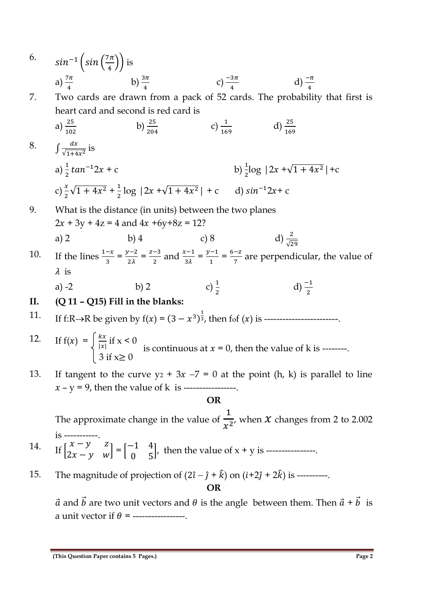6.  $sin^{-1} \left(sin \left(\frac{7\pi}{4}\right)\right)$  $\left(\frac{\pi}{4}\right)$  is a)  $\frac{7\pi}{4}$ b)  $\frac{3\pi}{4}$  $c) \frac{-3\pi}{4}$ d)  $\frac{-\pi}{4}$ 7. Two cards are drawn from a pack of 52 cards. The probability that first is heart card and second is red card is a)  $rac{25}{102}$ b)  $\frac{25}{204}$ c)  $\frac{1}{169}$ d)  $\frac{25}{169}$ 8.  $\int \frac{dx}{\sqrt{1+4}}$  $\frac{ax}{\sqrt{1+4x^2}}$  is a)  $\frac{1}{2} \tan^{-1} 2x + c$  b)  $\frac{1}{2}$  $\frac{1}{2}$ log  $|2x + \sqrt{1 + 4x^2}| + c$ c)  $\frac{x}{2}\sqrt{1+4x^2} + \frac{1}{2}\log |2x+\sqrt{1+4x}|$ d)  $sin^{-1}2x + c$ 9. What is the distance (in units) between the two planes  $2x + 3y + 4z = 4$  and  $4x +6y+8z = 12$ ? a) 2 b) 4 c) 8 d)  $\frac{2}{5}$ √29 10. If the lines  $\frac{1-x}{3} = \frac{y-2}{2\lambda}$  $\frac{z-2}{2\lambda} = \frac{z-3}{2}$  $\frac{x-3}{2}$  and  $\frac{x-1}{3\lambda} = \frac{y-1}{1}$  $\frac{1}{1} = \frac{6-z}{7}$  $\frac{-2}{7}$  are perpendicular, the value of  $\lambda$  is a) -2 b) 2 c)  $\frac{1}{2}$ c)  $\frac{1}{2}$ d)  $\frac{-1}{2}$ **II. (Q 11 – Q15) Fill in the blanks:**  11. If f:R→R be given by f() = (3 − 3 ) 1 <sup>3</sup>, then fof () is ------------------------. 12. If  $f(x) = \frac{kx}{|x|}$  $\frac{kx}{|x|}$  if  $x < 0$  $3 \text{ if } x \geq 0$ 13. If tangent to the curve  $y_2 + 3x -7 = 0$  at the point (h, k) is parallel to line  $x - y = 9$ , then the value of k is -----------------**OR** The approximate change in the value of 1  $\frac{1}{x^2}$ , when *X* changes from 2 to 2.002 is -----------. 14. If  $\begin{bmatrix} x - y & z \\ 2x - y & y \end{bmatrix}$  $\begin{bmatrix} x - y & z \\ 2x - y & w \end{bmatrix} = \begin{bmatrix} -1 & 4 \\ 0 & 5 \end{bmatrix}$ 0 5 ), then the value of  $x + y$  is ----------------15. The magnitude of projection of  $(2\hat{i} - \hat{j} + \hat{k})$  on  $(i+2\hat{j} + 2\hat{k})$  is ---------**OR**  $\vec{a}$  and  $\vec{b}$  are two unit vectors and  $\theta$  is the angle between them. Then  $\vec{a} + \vec{b}$  is a unit vector if  $\theta$  = ----------------is continuous at  $x = 0$ , then the value of k is --------.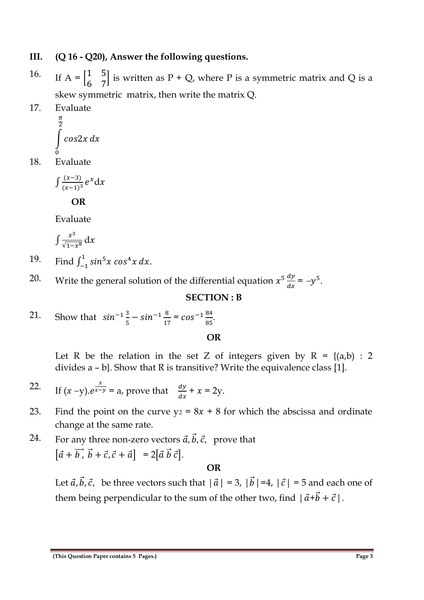### **III. (Q 16 - Q20), Answer the following questions.**

- 16. If  $A = \begin{bmatrix} 1 & 5 \\ 6 & 7 \end{bmatrix}$ 6 7 | is written as  $P + Q$ , where P is a symmetric matrix and Q is a skew symmetric matrix, then write the matrix Q.
- 17. Evaluate

$$
\int_{0}^{\frac{\pi}{2}} \cos 2x \, dx
$$

18. Evaluate

$$
\int \frac{(x-3)}{(x-1)^3} e^x \mathrm{d}x
$$

 **OR**

Evaluate

$$
\int \frac{x^3}{\sqrt{1-x^8}}\,\mathrm{d}x
$$

- 19. Find  $\int_{-1}^{1} \sin^5 x \cos^4 x \, dx$ .
- 20. Write the general solution of the differential equation  $x^5 \frac{dy}{dx}$  $\frac{dy}{dx} = -y^5.$

#### **SECTION : B**

21. Show that 
$$
\sin^{-1}\frac{3}{5} - \sin^{-1}\frac{8}{17} = \cos^{-1}\frac{84}{85}
$$
.

#### **OR**

Let R be the relation in the set Z of integers given by  $R = \{(a,b) : 2$ divides a – b}. Show that R is transitive? Write the equivalence class [1].

22. If 
$$
(x - y)
$$
.  $e^{\frac{x}{x-y}} = a$ , prove that  $\frac{dy}{dx} + x = 2y$ .

- 23. Find the point on the curve  $y_2 = 8x + 8$  for which the abscissa and ordinate change at the same rate.
- 24. For any three non-zero vectors  $\vec{a}$ ,  $\vec{b}$ ,  $\vec{c}$ , prove that  $[\vec{a} + \vec{b}, \vec{b} + \vec{c}, \vec{c} + \vec{a}] = 2[\vec{a} \vec{b} \vec{c}].$

#### **OR**

Let  $\vec{a}$ ,  $\vec{b}$ ,  $\vec{c}$ , be three vectors such that  $|\vec{a}| = 3$ ,  $|\vec{b}| = 4$ ,  $|\vec{c}| = 5$  and each one of them being perpendicular to the sum of the other two, find  $|\vec{a}+\vec{b}+\vec{c}|$ .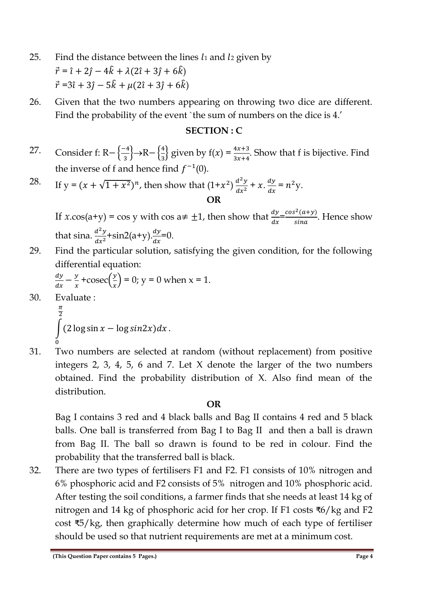- 25. Find the distance between the lines  $l_1$  and  $l_2$  given by  $\vec{r} = \hat{i} + 2\hat{j} - 4\hat{k} + \lambda(2\hat{i} + 3\hat{j} + 6\hat{k})$  $\vec{r} = 3\hat{i} + 3\hat{j} - 5\hat{k} + \mu(2\hat{i} + 3\hat{j} + 6\hat{k})$
- 26. Given that the two numbers appearing on throwing two dice are different. Find the probability of the event `the sum of numbers on the dice is 4.'

### **SECTION : C**

- 27. Consider f: R $-\frac{\{-4}{3}\}$  $\left\{\frac{-4}{3}\right\} \rightarrow R-\left\{\frac{4}{3}\right\}$  $\frac{4}{3}$  given by  $f(x) = \frac{4x+3}{3x+4}$ . Show that f is bijective. Find the inverse of f and hence find  $f^{-1}(0)$ .
- 28. If  $y = (x + \sqrt{1 + x^2})^n$ , then show that  $(1+x^2) \frac{d^2y}{dx^2} + x \cdot \frac{dy}{dx}$  $\frac{dy}{dx} = n^2 y.$ **OR**

If *x*.cos(a+y) = cos y with cos a  $\neq \pm 1$ , then show that  $\frac{dy}{dx} = \frac{\cos^2(a+y)}{\sin a}$  $\frac{(u+y)}{sina}$ . Hence show that sina.  $\frac{d^2y}{dx^2}$ +sin2(a+y). $\frac{dy}{dx}$ =0.

29. Find the particular solution, satisfying the given condition, for the following differential equation:

$$
\frac{dy}{dx} - \frac{y}{x} + \csc\left(\frac{y}{x}\right) = 0; y = 0 \text{ when } x = 1.
$$

30. Evaluate :  
\n
$$
\frac{\pi}{2}
$$
\n
$$
\int (2 \log \sin x - \log \sin 2x) dx.
$$

0 31. Two numbers are selected at random (without replacement) from positive integers 2, 3, 4, 5, 6 and 7. Let X denote the larger of the two numbers obtained. Find the probability distribution of X. Also find mean of the distribution.

### **OR**

Bag I contains 3 red and 4 black balls and Bag II contains 4 red and 5 black balls. One ball is transferred from Bag I to Bag II and then a ball is drawn from Bag II. The ball so drawn is found to be red in colour. Find the probability that the transferred ball is black.

32. There are two types of fertilisers F1 and F2. F1 consists of 10% nitrogen and 6% phosphoric acid and F2 consists of 5% nitrogen and 10% phosphoric acid. After testing the soil conditions, a farmer finds that she needs at least 14 kg of nitrogen and 14 kg of phosphoric acid for her crop. If F1 costs ₹6/kg and F2 cost ₹5/kg, then graphically determine how much of each type of fertiliser should be used so that nutrient requirements are met at a minimum cost.